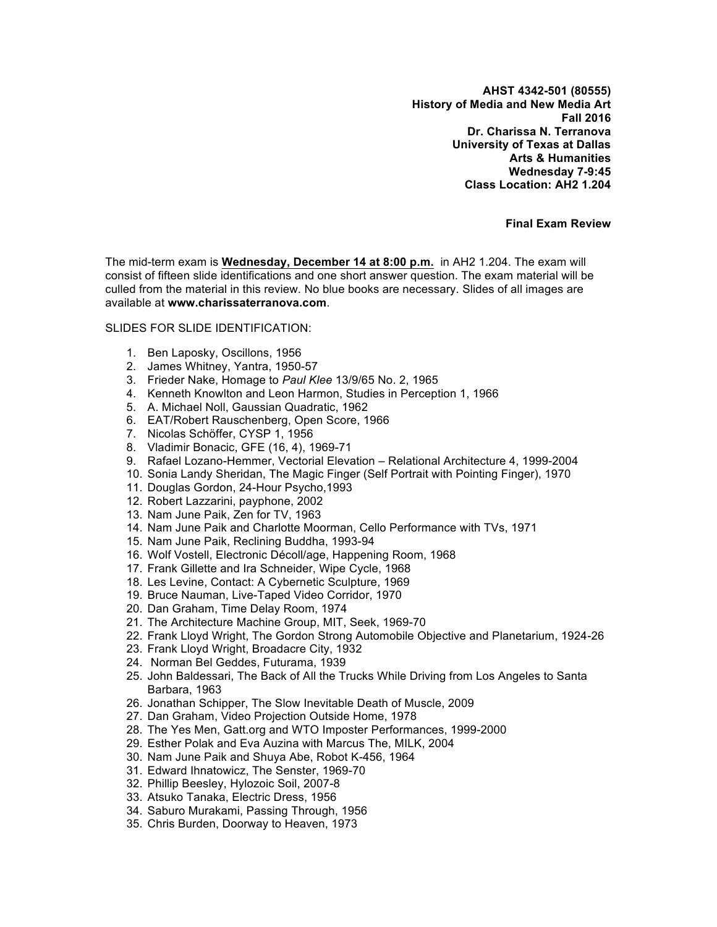**AHST 4342-501 (80555) History of Media and New Media Art Fall 2016 Dr. Charissa N. Terranova University of Texas at Dallas Arts & Humanities Wednesday 7-9:45 Class Location: AH2 1.204**

**Final Exam Review**

The mid-term exam is **Wednesday, December 14 at 8:00 p.m.** in AH2 1.204. The exam will consist of fifteen slide identifications and one short answer question. The exam material will be culled from the material in this review. No blue books are necessary. Slides of all images are available at **www.charissaterranova.com**.

## SLIDES FOR SLIDE IDENTIFICATION:

- 1. Ben Laposky, Oscillons, 1956
- 2. James Whitney, Yantra, 1950-57
- 3. Frieder Nake, Homage to *Paul Klee* 13/9/65 No. 2, 1965
- 4. Kenneth Knowlton and Leon Harmon, Studies in Perception 1, 1966
- 5. A. Michael Noll, Gaussian Quadratic, 1962
- 6. EAT/Robert Rauschenberg, Open Score, 1966
- 7. Nicolas Schöffer, CYSP 1, 1956
- 8. Vladimir Bonacic, GFE (16, 4), 1969-71
- 9. Rafael Lozano-Hemmer, Vectorial Elevation Relational Architecture 4, 1999-2004
- 10. Sonia Landy Sheridan, The Magic Finger (Self Portrait with Pointing Finger), 1970
- 11. Douglas Gordon, 24-Hour Psycho,1993
- 12. Robert Lazzarini, payphone, 2002
- 13. Nam June Paik, Zen for TV, 1963
- 14. Nam June Paik and Charlotte Moorman, Cello Performance with TVs, 1971
- 15. Nam June Paik, Reclining Buddha, 1993-94
- 16. Wolf Vostell, Electronic Décoll/age, Happening Room, 1968
- 17. Frank Gillette and Ira Schneider, Wipe Cycle, 1968
- 18. Les Levine, Contact: A Cybernetic Sculpture, 1969
- 19. Bruce Nauman, Live-Taped Video Corridor, 1970
- 20. Dan Graham, Time Delay Room, 1974
- 21. The Architecture Machine Group, MIT, Seek, 1969-70
- 22. Frank Lloyd Wright, The Gordon Strong Automobile Objective and Planetarium, 1924-26
- 23. Frank Lloyd Wright, Broadacre City, 1932
- 24. Norman Bel Geddes, Futurama, 1939
- 25. John Baldessari, The Back of All the Trucks While Driving from Los Angeles to Santa Barbara, 1963
- 26. Jonathan Schipper, The Slow Inevitable Death of Muscle, 2009
- 27. Dan Graham, Video Projection Outside Home, 1978
- 28. The Yes Men, Gatt.org and WTO Imposter Performances, 1999-2000
- 29. Esther Polak and Eva Auzina with Marcus The, MILK, 2004
- 30. Nam June Paik and Shuya Abe, Robot K-456, 1964
- 31. Edward Ihnatowicz, The Senster, 1969-70
- 32. Phillip Beesley, Hylozoic Soil, 2007-8
- 33. Atsuko Tanaka, Electric Dress, 1956
- 34. Saburo Murakami, Passing Through, 1956
- 35. Chris Burden, Doorway to Heaven, 1973